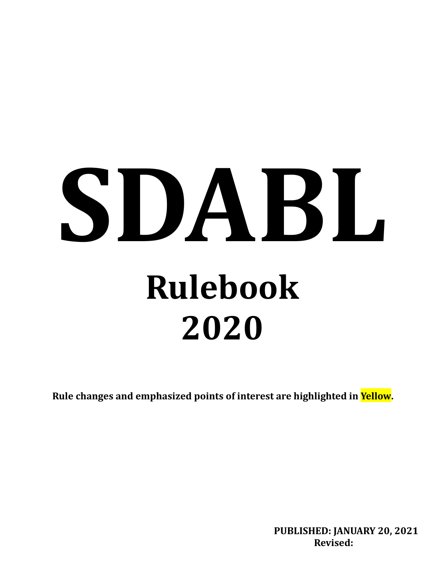# **SDABL Rulebook 2020**

**Rule changes and emphasized points of interest are highlighted in Yellow.**

**PUBLISHED: JANUARY 20, 2021 Revised:**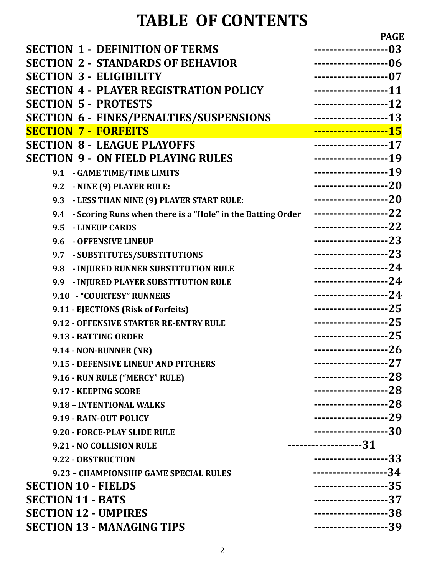# **TABLE OF CONTENTS**

|                                                                | <b>PAGE</b>            |
|----------------------------------------------------------------|------------------------|
| <b>SECTION 1 - DEFINITION OF TERMS</b>                         | ------------------03   |
| <b>SECTION 2 - STANDARDS OF BEHAVIOR</b>                       | -------------------06  |
| <b>SECTION 3 - ELIGIBILITY</b>                                 | -------------------07  |
| <b>SECTION 4 - PLAYER REGISTRATION POLICY</b>                  | -------------------11  |
| <b>SECTION 5 - PROTESTS</b>                                    | -------------------12  |
| SECTION 6 - FINES/PENALTIES/SUSPENSIONS                        | -------------------13  |
| <b>SECTION 7 - FORFEITS</b>                                    | --------------------15 |
| <b>SECTION 8 - LEAGUE PLAYOFFS</b>                             | -------------------17  |
| <b>SECTION 9 - ON FIELD PLAYING RULES</b>                      | -------------------19  |
| 9.1 - GAME TIME/TIME LIMITS                                    | -------------------19  |
| 9.2 - NINE (9) PLAYER RULE:                                    | --------------------20 |
| - LESS THAN NINE (9) PLAYER START RULE:<br>9.3                 | -------------------20  |
| 9.4 - Scoring Runs when there is a "Hole" in the Batting Order | -------------------22  |
| 9.5 - LINEUP CARDS                                             | --------------------22 |
| 9.6 - OFFENSIVE LINEUP                                         | -------------------23  |
| 9.7 - SUBSTITUTES/SUBSTITUTIONS                                | -------------------23  |
| - INJURED RUNNER SUBSTITUTION RULE<br>9.8                      | -------------------24  |
| 9.9 - INJURED PLAYER SUBSTITUTION RULE                         | -------------------24  |
| 9.10 - "COURTESY" RUNNERS                                      | -------------------24  |
| 9.11 - EJECTIONS (Risk of Forfeits)                            | --------------------25 |
| 9.12 - OFFENSIVE STARTER RE-ENTRY RULE                         | -------------------25  |
| 9.13 - BATTING ORDER                                           | -------------------25  |
| 9.14 - NON-RUNNER (NR)                                         | -------------------26  |
| 9.15 - DEFENSIVE LINEUP AND PITCHERS                           | -----------------27    |
| 9.16 - RUN RULE ("MERCY" RULE)                                 | -------------------28  |
| 9.17 - KEEPING SCORE                                           | -------------------28  |
| 9.18 - INTENTIONAL WALKS                                       | --------------------28 |
| 9.19 - RAIN-OUT POLICY                                         | --------------------29 |
| 9.20 - FORCE-PLAY SLIDE RULE                                   | -------------------30  |
| 9.21 - NO COLLISION RULE                                       | --------------------31 |
| 9.22 - OBSTRUCTION                                             | --------------------33 |
| 9.23 - CHAMPIONSHIP GAME SPECIAL RULES                         | -------------------34  |
| <b>SECTION 10 - FIELDS</b>                                     | -------------------35  |
| <b>SECTION 11 - BATS</b>                                       | -------------------37  |
| <b>SECTION 12 - UMPIRES</b>                                    | -------------------38  |
| <b>SECTION 13 - MANAGING TIPS</b>                              | -------------------39  |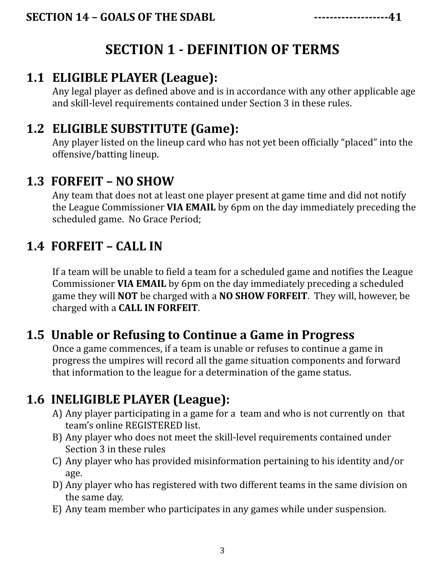## **SECTION 1 - DEFINITION OF TERMS**

#### **1.1 ELIGIBLE PLAYER (League):**

Any legal player as defined above and is in accordance with any other applicable age and skill-level requirements contained under Section 3 in these rules.

#### **1.2 ELIGIBLE SUBSTITUTE (Game):**

Any player listed on the lineup card who has not yet been officially "placed" into the offensive/batting lineup.

#### **1.3 FORFEIT – NO SHOW**

Any team that does not at least one player present at game time and did not notify the League Commissioner **VIA EMAIL** by 6pm on the day immediately preceding the scheduled game. No Grace Period;

#### **1.4 FORFEIT – CALL IN**

If a team will be unable to field a team for a scheduled game and notifies the League Commissioner **VIA EMAIL** by 6pm on the day immediately preceding a scheduled game they will **NOT** be charged with a **NO SHOW FORFEIT**. They will, however, be charged with a **CALL IN FORFEIT**.

#### **1.5 Unable or Refusing to Continue a Game in Progress**

Once a game commences, if a team is unable or refuses to continue a game in progress the umpires will record all the game situation components and forward that information to the league for a determination of the game status.

#### **1.6 INELIGIBLE PLAYER (League):**

- A) Any player participating in a game for a team and who is not currently on that team's online REGISTERED list.
- B) Any player who does not meet the skill-level requirements contained under Section 3 in these rules
- C) Any player who has provided misinformation pertaining to his identity and/or age.
- D) Any player who has registered with two different teams in the same division on the same day.
- E) Any team member who participates in any games while under suspension.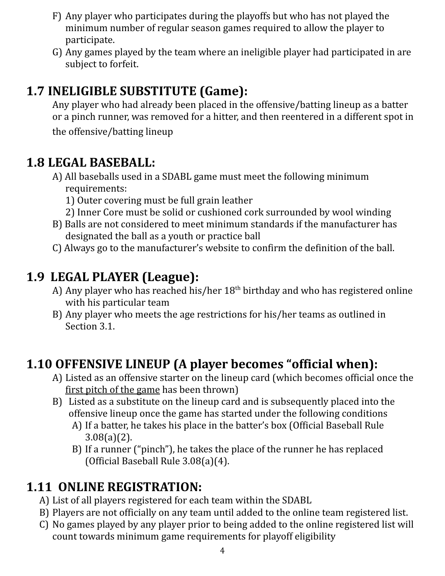- F) Any player who participates during the playoffs but who has not played the minimum number of regular season games required to allow the player to participate.
- G) Any games played by the team where an ineligible player had participated in are subject to forfeit.

#### **1.7 INELIGIBLE SUBSTITUTE (Game):**

Any player who had already been placed in the offensive/batting lineup as a batter or a pinch runner, was removed for a hitter, and then reentered in a different spot in the offensive/batting lineup

#### **1.8 LEGAL BASEBALL:**

- A) All baseballs used in a SDABL game must meet the following minimum requirements:
	- 1) Outer covering must be full grain leather
	- 2) Inner Core must be solid or cushioned cork surrounded by wool winding
- B) Balls are not considered to meet minimum standards if the manufacturer has designated the ball as a youth or practice ball
- C) Always go to the manufacturer's website to confirm the definition of the ball.

#### **1.9 LEGAL PLAYER (League):**

- A) Any player who has reached his/her  $18<sup>th</sup>$  birthday and who has registered online with his particular team
- B) Any player who meets the age restrictions for his/her teams as outlined in Section 3.1.

#### **1.10 OFFENSIVE LINEUP (A player becomes "official when):**

- A) Listed as an offensive starter on the lineup card (which becomes official once the first pitch of the game has been thrown)
- B) Listed as a substitute on the lineup card and is subsequently placed into the offensive lineup once the game has started under the following conditions
	- A) If a batter, he takes his place in the batter's box (Official Baseball Rule 3.08(a)(2).
	- B) If a runner ("pinch"), he takes the place of the runner he has replaced (Official Baseball Rule 3.08(a)(4).

#### **1.11 ONLINE REGISTRATION:**

- A) List of all players registered for each team within the SDABL
- B) Players are not officially on any team until added to the online team registered list.
- C) No games played by any player prior to being added to the online registered list will count towards minimum game requirements for playoff eligibility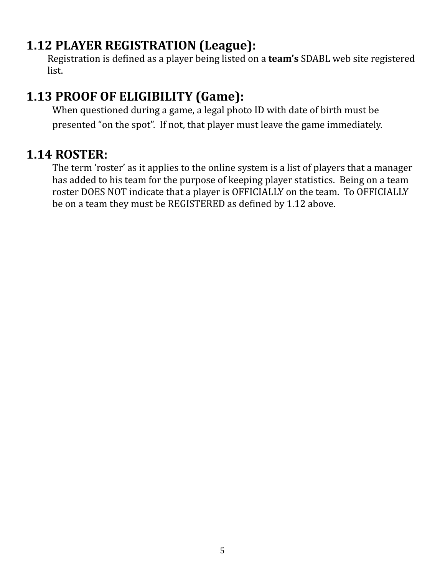#### **1.12 PLAYER REGISTRATION (League):**

Registration is defined as a player being listed on a **team's** SDABL web site registered list.

#### **1.13 PROOF OF ELIGIBILITY (Game):**

When questioned during a game, a legal photo ID with date of birth must be presented "on the spot". If not, that player must leave the game immediately.

#### **1.14 ROSTER:**

The term 'roster' as it applies to the online system is a list of players that a manager has added to his team for the purpose of keeping player statistics. Being on a team roster DOES NOT indicate that a player is OFFICIALLY on the team. To OFFICIALLY be on a team they must be REGISTERED as defined by 1.12 above.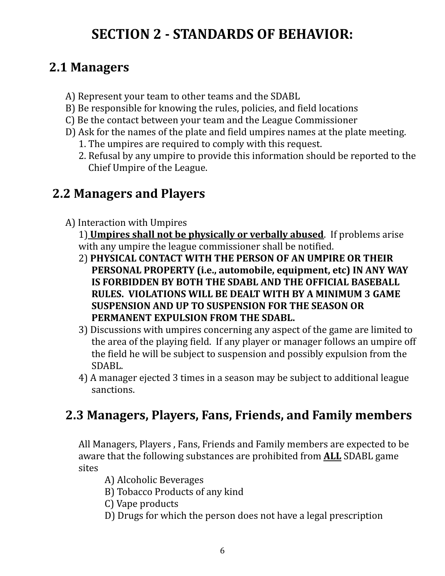## **SECTION 2 - STANDARDS OF BEHAVIOR:**

#### **2.1 Managers**

- A) Represent your team to other teams and the SDABL
- B) Be responsible for knowing the rules, policies, and field locations
- C) Be the contact between your team and the League Commissioner
- D) Ask for the names of the plate and field umpires names at the plate meeting.
	- 1. The umpires are required to comply with this request.
	- 2. Refusal by any umpire to provide this information should be reported to the Chief Umpire of the League.

#### **2.2 Managers and Players**

- A) Interaction with Umpires
	- 1) **Umpires shall not be physically or verbally abused**. If problems arise with any umpire the league commissioner shall be notified.
	- 2) **PHYSICAL CONTACT WITH THE PERSON OF AN UMPIRE OR THEIR PERSONAL PROPERTY (i.e., automobile, equipment, etc) IN ANY WAY IS FORBIDDEN BY BOTH THE SDABL AND THE OFFICIAL BASEBALL RULES. VIOLATIONS WILL BE DEALT WITH BY A MINIMUM 3 GAME SUSPENSION AND UP TO SUSPENSION FOR THE SEASON OR PERMANENT EXPULSION FROM THE SDABL.**
	- 3) Discussions with umpires concerning any aspect of the game are limited to the area of the playing field. If any player or manager follows an umpire off the field he will be subject to suspension and possibly expulsion from the SDABL.
	- 4) A manager ejected 3 times in a season may be subject to additional league sanctions.

#### **2.3 Managers, Players, Fans, Friends, and Family members**

All Managers, Players , Fans, Friends and Family members are expected to be aware that the following substances are prohibited from **ALL** SDABL game sites

- A) Alcoholic Beverages
- B) Tobacco Products of any kind
- C) Vape products
- D) Drugs for which the person does not have a legal prescription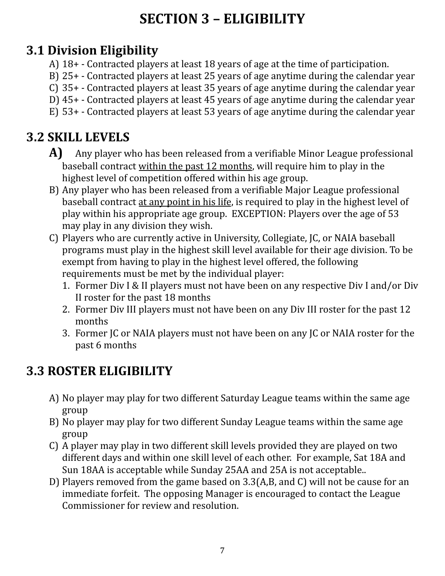# **SECTION 3 – ELIGIBILITY**

## **3.1 Division Eligibility**

- A) 18+ Contracted players at least 18 years of age at the time of participation.
- B) 25+ Contracted players at least 25 years of age anytime during the calendar year
- C) 35+ Contracted players at least 35 years of age anytime during the calendar year
- D) 45+ Contracted players at least 45 years of age anytime during the calendar year
- E) 53+ Contracted players at least 53 years of age anytime during the calendar year

## **3.2 SKILL LEVELS**

- **A)** Any player who has been released from a verifiable Minor League professional baseball contract within the past 12 months, will require him to play in the highest level of competition offered within his age group.
- B) Any player who has been released from a verifiable Major League professional baseball contract at any point in his life, is required to play in the highest level of play within his appropriate age group. EXCEPTION: Players over the age of 53 may play in any division they wish.
- C) Players who are currently active in University, Collegiate, JC, or NAIA baseball programs must play in the highest skill level available for their age division. To be exempt from having to play in the highest level offered, the following requirements must be met by the individual player:
	- 1. Former Div I & II players must not have been on any respective Div I and/or Div II roster for the past 18 months
	- 2. Former Div III players must not have been on any Div III roster for the past 12 months
	- 3. Former JC or NAIA players must not have been on any JC or NAIA roster for the past 6 months

## **3.3 ROSTER ELIGIBILITY**

- A) No player may play for two different Saturday League teams within the same age group
- B) No player may play for two different Sunday League teams within the same age group
- C) A player may play in two different skill levels provided they are played on two different days and within one skill level of each other. For example, Sat 18A and Sun 18AA is acceptable while Sunday 25AA and 25A is not acceptable..
- D) Players removed from the game based on 3.3(A,B, and C) will not be cause for an immediate forfeit. The opposing Manager is encouraged to contact the League Commissioner for review and resolution.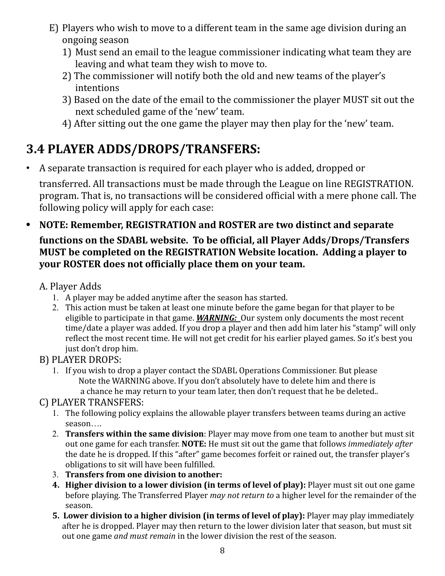- E) Players who wish to move to a different team in the same age division during an ongoing season
	- 1) Must send an email to the league commissioner indicating what team they are leaving and what team they wish to move to.
	- 2) The commissioner will notify both the old and new teams of the player's intentions
	- 3) Based on the date of the email to the commissioner the player MUST sit out the next scheduled game of the 'new' team.
	- 4) After sitting out the one game the player may then play for the 'new' team.

#### **3.4 PLAYER ADDS/DROPS/TRANSFERS:**

• A separate transaction is required for each player who is added, dropped or

transferred. All transactions must be made through the League on line REGISTRATION. program. That is, no transactions will be considered official with a mere phone call. The following policy will apply for each case:

**• NOTE: Remember, REGISTRATION and ROSTER are two distinct and separate functions on the SDABL website. To be official, all Player Adds/Drops/Transfers MUST be completed on the REGISTRATION Website location. Adding a player to your ROSTER does not officially place them on your team.**

#### A. Player Adds

- 1. A player may be added anytime after the season has started.
- 2. This action must be taken at least one minute before the game began for that player to be eligible to participate in that game. *WARNING:* Our system only documents the most recent time/date a player was added. If you drop a player and then add him later his "stamp" will only reflect the most recent time. He will not get credit for his earlier played games. So it's best you just don't drop him.

#### B) PLAYER DROPS:

1. If you wish to drop a player contact the SDABL Operations Commissioner. But please Note the WARNING above. If you don't absolutely have to delete him and there is a chance he may return to your team later, then don't request that he be deleted..

#### C) PLAYER TRANSFERS:

- 1. The following policy explains the allowable player transfers between teams during an active season….
- 2. **Transfers within the same division**: Player may move from one team to another but must sit out one game for each transfer. **NOTE:** He must sit out the game that follows *immediately after* the date he is dropped. If this "after" game becomes forfeit or rained out, the transfer player's obligations to sit will have been fulfilled.
- 3. **Transfers from one division to another:**
- **4. Higher division to a lower division (in terms of level of play):** Player must sit out one game before playing. The Transferred Player *may not return to* a higher level for the remainder of the season.
- **5. Lower division to a higher division (in terms of level of play):** Player may play immediately after he is dropped. Player may then return to the lower division later that season, but must sit out one game *and must remain* in the lower division the rest of the season.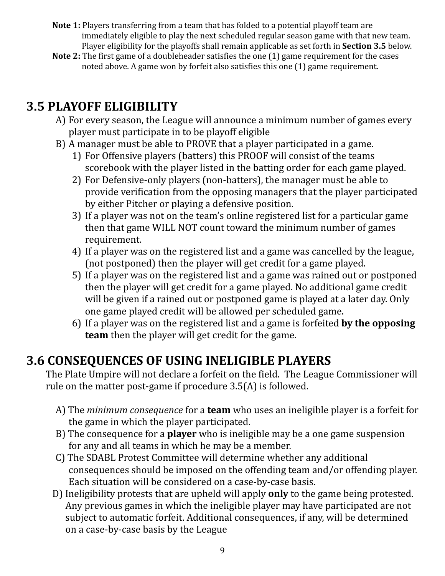- **Note 1:** Players transferring from a team that has folded to a potential playoff team are immediately eligible to play the next scheduled regular season game with that new team. Player eligibility for the playoffs shall remain applicable as set forth in **Section 3.5** below.
- **Note 2:** The first game of a doubleheader satisfies the one (1) game requirement for the cases noted above. A game won by forfeit also satisfies this one (1) game requirement.

#### **3.5 PLAYOFF ELIGIBILITY**

- A) For every season, the League will announce a minimum number of games every player must participate in to be playoff eligible
- B) A manager must be able to PROVE that a player participated in a game.
	- 1) For Offensive players (batters) this PROOF will consist of the teams scorebook with the player listed in the batting order for each game played.
	- 2) For Defensive-only players (non-batters), the manager must be able to provide verification from the opposing managers that the player participated by either Pitcher or playing a defensive position.
	- 3) If a player was not on the team's online registered list for a particular game then that game WILL NOT count toward the minimum number of games requirement.
	- 4) If a player was on the registered list and a game was cancelled by the league, (not postponed) then the player will get credit for a game played.
	- 5) If a player was on the registered list and a game was rained out or postponed then the player will get credit for a game played. No additional game credit will be given if a rained out or postponed game is played at a later day. Only one game played credit will be allowed per scheduled game.
	- 6) If a player was on the registered list and a game is forfeited **by the opposing team** then the player will get credit for the game.

#### **3.6 CONSEQUENCES OF USING INELIGIBLE PLAYERS**

The Plate Umpire will not declare a forfeit on the field. The League Commissioner will rule on the matter post-game if procedure 3.5(A) is followed.

- A) The *minimum consequence* for a **team** who uses an ineligible player is a forfeit for the game in which the player participated.
- B) The consequence for a **player** who is ineligible may be a one game suspension for any and all teams in which he may be a member.
- C) The SDABL Protest Committee will determine whether any additional consequences should be imposed on the offending team and/or offending player. Each situation will be considered on a case-by-case basis.
- D) Ineligibility protests that are upheld will apply **only** to the game being protested. Any previous games in which the ineligible player may have participated are not subject to automatic forfeit. Additional consequences, if any, will be determined on a case-by-case basis by the League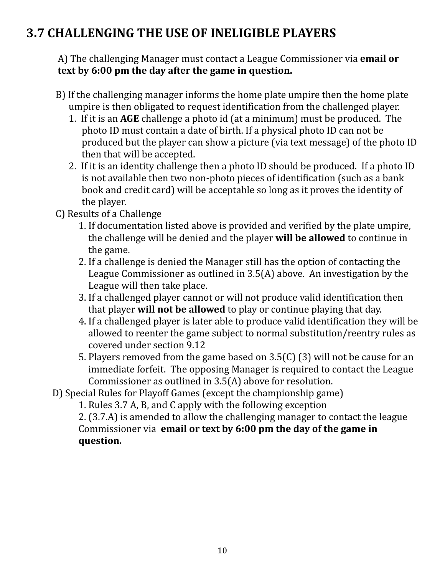#### **3.7 CHALLENGING THE USE OF INELIGIBLE PLAYERS**

A) The challenging Manager must contact a League Commissioner via **email or text by 6:00 pm the day after the game in question.**

- B) If the challenging manager informs the home plate umpire then the home plate umpire is then obligated to request identification from the challenged player.
	- 1. If it is an **AGE** challenge a photo id (at a minimum) must be produced. The photo ID must contain a date of birth. If a physical photo ID can not be produced but the player can show a picture (via text message) of the photo ID then that will be accepted.
	- 2. If it is an identity challenge then a photo ID should be produced. If a photo ID is not available then two non-photo pieces of identification (such as a bank book and credit card) will be acceptable so long as it proves the identity of the player.
- C) Results of a Challenge
	- 1. If documentation listed above is provided and verified by the plate umpire, the challenge will be denied and the player **will be allowed** to continue in the game.
	- 2. If a challenge is denied the Manager still has the option of contacting the League Commissioner as outlined in 3.5(A) above. An investigation by the League will then take place.
	- 3. If a challenged player cannot or will not produce valid identification then that player **will not be allowed** to play or continue playing that day.
	- 4. If a challenged player is later able to produce valid identification they will be allowed to reenter the game subject to normal substitution/reentry rules as covered under section 9.12
	- 5. Players removed from the game based on 3.5(C) (3) will not be cause for an immediate forfeit. The opposing Manager is required to contact the League Commissioner as outlined in 3.5(A) above for resolution.
- D) Special Rules for Playoff Games (except the championship game)

1. Rules 3.7 A, B, and C apply with the following exception

2. (3.7.A) is amended to allow the challenging manager to contact the league Commissioner via **email or text by 6:00 pm the day of the game in question.**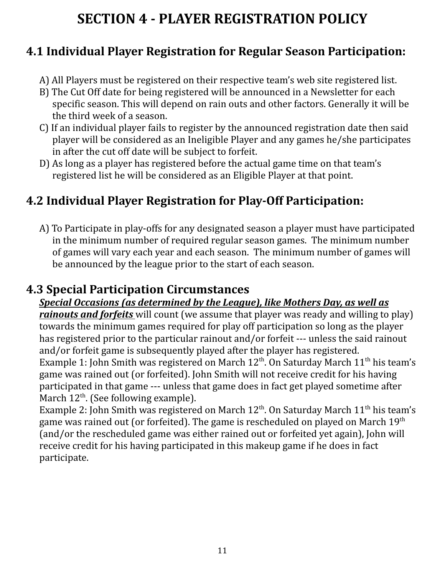## **SECTION 4 - PLAYER REGISTRATION POLICY**

#### **4.1 Individual Player Registration for Regular Season Participation:**

- A) All Players must be registered on their respective team's web site registered list.
- B) The Cut Off date for being registered will be announced in a Newsletter for each specific season. This will depend on rain outs and other factors. Generally it will be the third week of a season.
- C) If an individual player fails to register by the announced registration date then said player will be considered as an Ineligible Player and any games he/she participates in after the cut off date will be subject to forfeit.
- D) As long as a player has registered before the actual game time on that team's registered list he will be considered as an Eligible Player at that point.

#### **4.2 Individual Player Registration for Play-Off Participation:**

A) To Participate in play-offs for any designated season a player must have participated in the minimum number of required regular season games. The minimum number of games will vary each year and each season. The minimum number of games will be announced by the league prior to the start of each season.

#### **4.3 Special Participation Circumstances**

#### *Special Occasions (as determined by the League), like Mothers Day, as well as*

*rainouts and forfeits* will count (we assume that player was ready and willing to play) towards the minimum games required for play off participation so long as the player has registered prior to the particular rainout and/or forfeit --- unless the said rainout and/or forfeit game is subsequently played after the player has registered. Example 1: John Smith was registered on March  $12^{\text{th}}$ . On Saturday March  $11^{\text{th}}$  his team's game was rained out (or forfeited). John Smith will not receive credit for his having participated in that game --- unless that game does in fact get played sometime after March 12<sup>th</sup>. (See following example).

Example 2: John Smith was registered on March  $12^{\text{th}}$ . On Saturday March  $11^{\text{th}}$  his team's game was rained out (or forfeited). The game is rescheduled on played on March  $19^{\rm th}$ (and/or the rescheduled game was either rained out or forfeited yet again), John will receive credit for his having participated in this makeup game if he does in fact participate.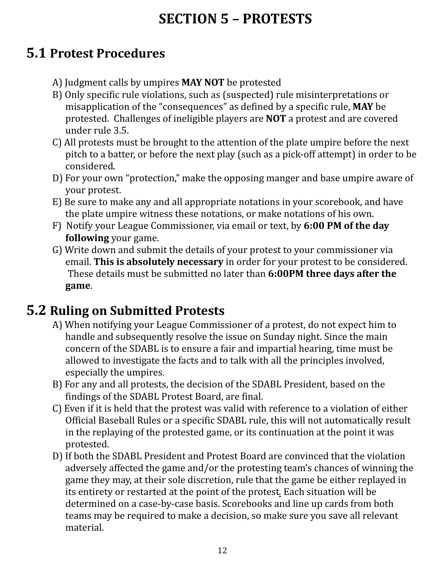# **SECTION 5 – PROTESTS**

#### **5.1 Protest Procedures**

- A) Judgment calls by umpires **MAY NOT** be protested
- B) Only specific rule violations, such as (suspected) rule misinterpretations or misapplication of the "consequences" as defined by a specific rule, **MAY** be protested. Challenges of ineligible players are **NOT** a protest and are covered under rule 3.5.
- C) All protests must be brought to the attention of the plate umpire before the next pitch to a batter, or before the next play (such as a pick-off attempt) in order to be considered*.*
- D) For your own "protection," make the opposing manger and base umpire aware of your protest.
- E) Be sure to make any and all appropriate notations in your scorebook, and have the plate umpire witness these notations, or make notations of his own.
- F) Notify your League Commissioner, via email or text, by **6:00 PM of the day following** your game.
- G) Write down and submit the details of your protest to your commissioner via email. **This is absolutely necessary** in order for your protest to be considered. These details must be submitted no later than **6:00PM three days after the game**.

## **5.2 Ruling on Submitted Protests**

- A) When notifying your League Commissioner of a protest, do not expect him to handle and subsequently resolve the issue on Sunday night. Since the main concern of the SDABL is to ensure a fair and impartial hearing, time must be allowed to investigate the facts and to talk with all the principles involved, especially the umpires.
- B) For any and all protests, the decision of the SDABL President, based on the findings of the SDABL Protest Board, are final.
- C) Even if it is held that the protest was valid with reference to a violation of either Official Baseball Rules or a specific SDABL rule, this will not automatically result in the replaying of the protested game, or its continuation at the point it was protested.
- D) If both the SDABL President and Protest Board are convinced that the violation adversely affected the game and/or the protesting team's chances of winning the game they may, at their sole discretion, rule that the game be either replayed in its entirety or restarted at the point of the protest*.* Each situation will be determined on a case-by-case basis. Scorebooks and line up cards from both teams may be required to make a decision, so make sure you save all relevant material.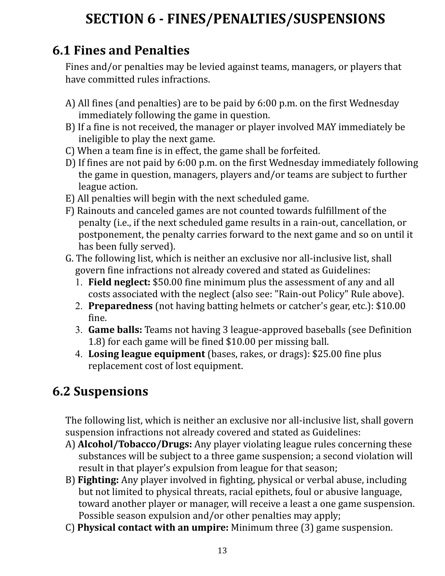# **SECTION 6 - FINES/PENALTIES/SUSPENSIONS**

#### **6.1 Fines and Penalties**

Fines and/or penalties may be levied against teams, managers, or players that have committed rules infractions.

- A) All fines (and penalties) are to be paid by 6:00 p.m. on the first Wednesday immediately following the game in question.
- B) If a fine is not received, the manager or player involved MAY immediately be ineligible to play the next game.
- C) When a team fine is in effect, the game shall be forfeited.
- D) If fines are not paid by 6:00 p.m. on the first Wednesday immediately following the game in question, managers, players and/or teams are subject to further league action.
- E) All penalties will begin with the next scheduled game.
- F) Rainouts and canceled games are not counted towards fulfillment of the penalty (i.e., if the next scheduled game results in a rain-out, cancellation, or postponement, the penalty carries forward to the next game and so on until it has been fully served).
- G. The following list, which is neither an exclusive nor all-inclusive list, shall govern fine infractions not already covered and stated as Guidelines:
	- 1. **Field neglect:** \$50.00 fine minimum plus the assessment of any and all costs associated with the neglect (also see: "Rain-out Policy" Rule above).
	- 2. **Preparedness** (not having batting helmets or catcher's gear, etc.): \$10.00 fine.
	- 3. **Game balls:** Teams not having 3 league-approved baseballs (see Definition 1.8) for each game will be fined \$10.00 per missing ball.
	- 4. **Losing league equipment** (bases, rakes, or drags): \$25.00 fine plus replacement cost of lost equipment.

## **6.2 Suspensions**

The following list, which is neither an exclusive nor all-inclusive list, shall govern suspension infractions not already covered and stated as Guidelines:

- A) **Alcohol/Tobacco/Drugs:** Any player violating league rules concerning these substances will be subject to a three game suspension; a second violation will result in that player's expulsion from league for that season;
- B) **Fighting:** Any player involved in fighting, physical or verbal abuse, including but not limited to physical threats, racial epithets, foul or abusive language, toward another player or manager, will receive a least a one game suspension. Possible season expulsion and/or other penalties may apply;
- C) **Physical contact with an umpire:** Minimum three (3) game suspension.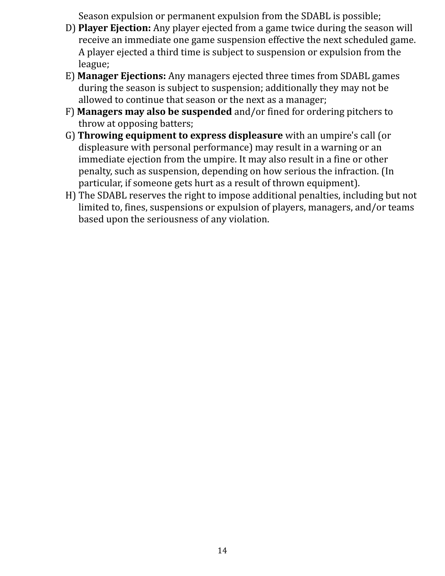Season expulsion or permanent expulsion from the SDABL is possible;

- D) **Player Ejection:** Any player ejected from a game twice during the season will receive an immediate one game suspension effective the next scheduled game. A player ejected a third time is subject to suspension or expulsion from the league;
- E) **Manager Ejections:** Any managers ejected three times from SDABL games during the season is subject to suspension; additionally they may not be allowed to continue that season or the next as a manager;
- F) **Managers may also be suspended** and/or fined for ordering pitchers to throw at opposing batters;
- G) **Throwing equipment to express displeasure** with an umpire's call (or displeasure with personal performance) may result in a warning or an immediate ejection from the umpire. It may also result in a fine or other penalty, such as suspension, depending on how serious the infraction. (In particular, if someone gets hurt as a result of thrown equipment).
- H) The SDABL reserves the right to impose additional penalties, including but not limited to, fines, suspensions or expulsion of players, managers, and/or teams based upon the seriousness of any violation.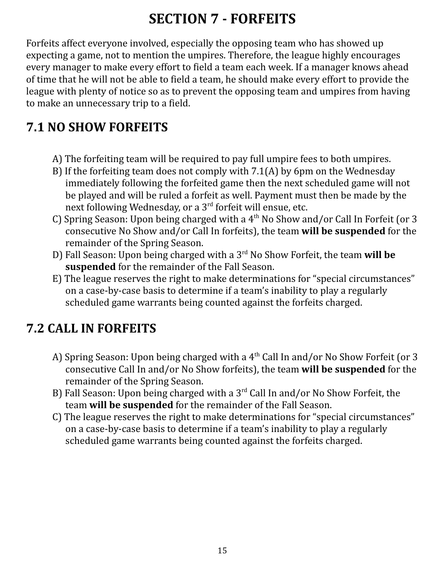## **SECTION 7 - FORFEITS**

Forfeits affect everyone involved, especially the opposing team who has showed up expecting a game, not to mention the umpires. Therefore, the league highly encourages every manager to make every effort to field a team each week. If a manager knows ahead of time that he will not be able to field a team, he should make every effort to provide the league with plenty of notice so as to prevent the opposing team and umpires from having to make an unnecessary trip to a field.

#### **7.1 NO SHOW FORFEITS**

- A) The forfeiting team will be required to pay full umpire fees to both umpires.
- B) If the forfeiting team does not comply with 7.1(A) by 6pm on the Wednesday immediately following the forfeited game then the next scheduled game will not be played and will be ruled a forfeit as well. Payment must then be made by the next following Wednesday, or a 3<sup>rd</sup> forfeit will ensue, etc.
- C) Spring Season: Upon being charged with a  $4<sup>th</sup>$  No Show and/or Call In Forfeit (or 3 consecutive No Show and/or Call In forfeits), the team **will be suspended** for the remainder of the Spring Season.
- D) Fall Season: Upon being charged with a 3 rd No Show Forfeit, the team **will be suspended** for the remainder of the Fall Season.
- E) The league reserves the right to make determinations for "special circumstances" on a case-by-case basis to determine if a team's inability to play a regularly scheduled game warrants being counted against the forfeits charged.

#### **7.2 CALL IN FORFEITS**

- A) Spring Season: Upon being charged with a 4<sup>th</sup> Call In and/or No Show Forfeit (or 3 consecutive Call In and/or No Show forfeits), the team **will be suspended** for the remainder of the Spring Season.
- B) Fall Season: Upon being charged with a 3<sup>rd</sup> Call In and/or No Show Forfeit, the team **will be suspended** for the remainder of the Fall Season.
- C) The league reserves the right to make determinations for "special circumstances" on a case-by-case basis to determine if a team's inability to play a regularly scheduled game warrants being counted against the forfeits charged.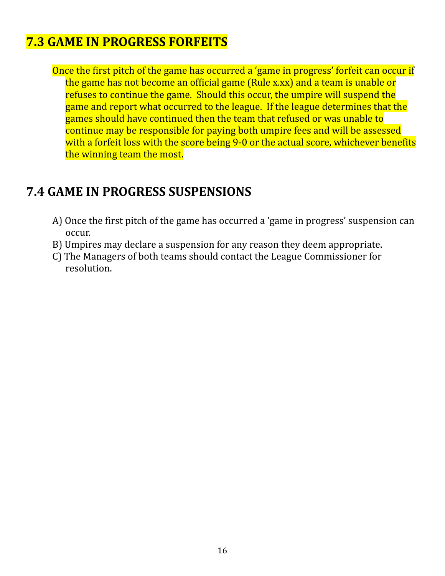#### **7.3 GAME IN PROGRESS FORFEITS**

Once the first pitch of the game has occurred a 'game in progress' forfeit can occur if the game has not become an official game (Rule x.xx) and a team is unable or refuses to continue the game. Should this occur, the umpire will suspend the game and report what occurred to the league. If the league determines that the games should have continued then the team that refused or was unable to continue may be responsible for paying both umpire fees and will be assessed with a forfeit loss with the score being 9-0 or the actual score, whichever benefits the winning team the most.

#### **7.4 GAME IN PROGRESS SUSPENSIONS**

- A) Once the first pitch of the game has occurred a 'game in progress' suspension can occur.
- B) Umpires may declare a suspension for any reason they deem appropriate.
- C) The Managers of both teams should contact the League Commissioner for resolution.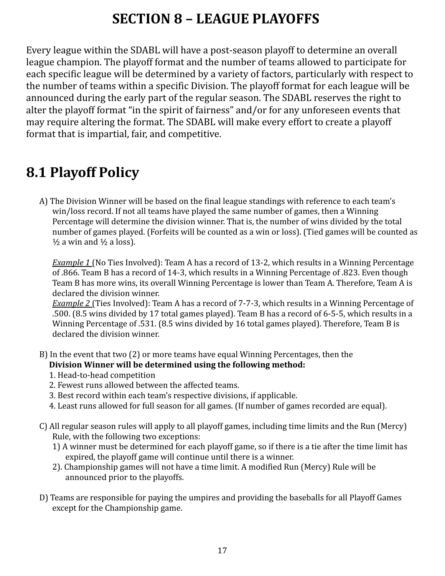## **SECTION 8 – LEAGUE PLAYOFFS**

Every league within the SDABL will have a post-season playoff to determine an overall league champion. The playoff format and the number of teams allowed to participate for each specific league will be determined by a variety of factors, particularly with respect to the number of teams within a specific Division. The playoff format for each league will be announced during the early part of the regular season. The SDABL reserves the right to alter the playoff format "in the spirit of fairness" and/or for any unforeseen events that may require altering the format. The SDABL will make every effort to create a playoff format that is impartial, fair, and competitive.

#### **8.1 Playoff Policy**

A) The Division Winner will be based on the final league standings with reference to each team's win/loss record. If not all teams have played the same number of games, then a Winning Percentage will determine the division winner. That is, the number of wins divided by the total number of games played. (Forfeits will be counted as a win or loss). (Tied games will be counted as  $\frac{1}{2}$  a win and  $\frac{1}{2}$  a loss).

*Example 1* (No Ties Involved): Team A has a record of 13-2, which results in a Winning Percentage of .866. Team B has a record of 14-3, which results in a Winning Percentage of .823. Even though Team B has more wins, its overall Winning Percentage is lower than Team A. Therefore, Team A is declared the division winner.

*Example 2* (Ties Involved): Team A has a record of 7-7-3, which results in a Winning Percentage of .500. (8.5 wins divided by 17 total games played). Team B has a record of 6-5-5, which results in a Winning Percentage of .531. (8.5 wins divided by 16 total games played). Therefore, Team B is declared the division winner.

- B) In the event that two (2) or more teams have equal Winning Percentages, then the **Division Winner will be determined using the following method:**
	- 1. Head-to-head competition
	- 2. Fewest runs allowed between the affected teams.
	- 3. Best record within each team's respective divisions, if applicable.
	- 4. Least runs allowed for full season for all games. (If number of games recorded are equal).
- C) All regular season rules will apply to all playoff games, including time limits and the Run (Mercy) Rule, with the following two exceptions:
	- 1) A winner must be determined for each playoff game, so if there is a tie after the time limit has expired, the playoff game will continue until there is a winner.
	- 2). Championship games will not have a time limit. A modified Run (Mercy) Rule will be announced prior to the playoffs.
- D) Teams are responsible for paying the umpires and providing the baseballs for all Playoff Games except for the Championship game.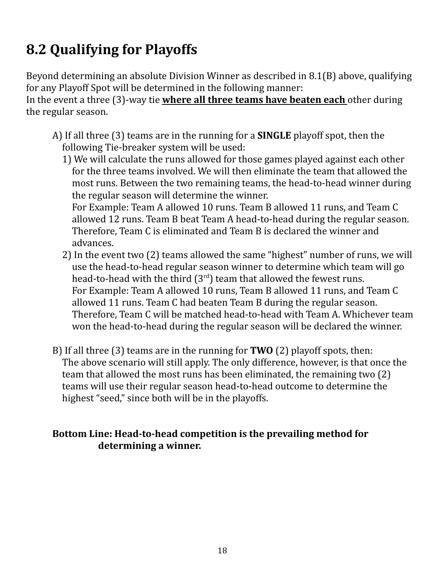# **8.2 Qualifying for Playoffs**

Beyond determining an absolute Division Winner as described in 8.1(B) above, qualifying for any Playoff Spot will be determined in the following manner:

In the event a three (3)-way tie **where all three teams have beaten each** other during the regular season.

- A) If all three (3) teams are in the running for a **SINGLE** playoff spot, then the following Tie-breaker system will be used:
	- 1) We will calculate the runs allowed for those games played against each other for the three teams involved. We will then eliminate the team that allowed the most runs. Between the two remaining teams, the head-to-head winner during the regular season will determine the winner. For Example: Team A allowed 10 runs. Team B allowed 11 runs, and Team C allowed 12 runs. Team B beat Team A head-to-head during the regular season. Therefore, Team C is eliminated and Team B is declared the winner and advances.
	- 2) In the event two (2) teams allowed the same "highest" number of runs, we will use the head-to-head regular season winner to determine which team will go head-to-head with the third  $(3<sup>rd</sup>)$  team that allowed the fewest runs. For Example: Team A allowed 10 runs, Team B allowed 11 runs, and Team C allowed 11 runs. Team C had beaten Team B during the regular season. Therefore, Team C will be matched head-to-head with Team A. Whichever team won the head-to-head during the regular season will be declared the winner.
- B) If all three (3) teams are in the running for **TWO** (2) playoff spots, then: The above scenario will still apply. The only difference, however, is that once the team that allowed the most runs has been eliminated, the remaining two (2) teams will use their regular season head-to-head outcome to determine the highest "seed," since both will be in the playoffs.

#### **Bottom Line: Head-to-head competition is the prevailing method for determining a winner.**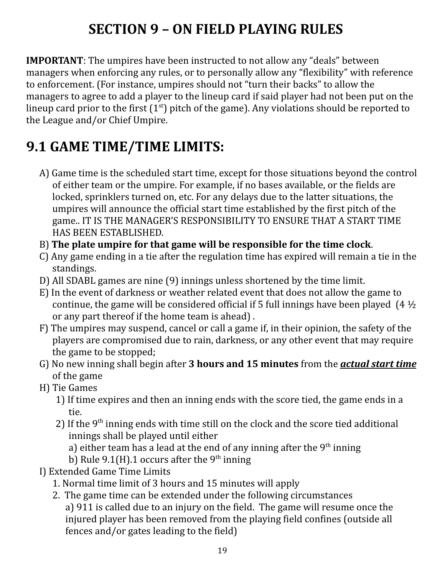# **SECTION 9 – ON FIELD PLAYING RULES**

**IMPORTANT**: The umpires have been instructed to not allow any "deals" between managers when enforcing any rules, or to personally allow any "flexibility" with reference to enforcement. (For instance, umpires should not "turn their backs" to allow the managers to agree to add a player to the lineup card if said player had not been put on the lineup card prior to the first  $(1<sup>st</sup>)$  pitch of the game). Any violations should be reported to the League and/or Chief Umpire.

# **9.1 GAME TIME/TIME LIMITS:**

- A) Game time is the scheduled start time, except for those situations beyond the control of either team or the umpire. For example, if no bases available, or the fields are locked, sprinklers turned on, etc. For any delays due to the latter situations, the umpires will announce the official start time established by the first pitch of the game.. IT IS THE MANAGER'S RESPONSIBILITY TO ENSURE THAT A START TIME HAS BEEN ESTABLISHED.
- B) **The plate umpire for that game will be responsible for the time clock**.
- C) Any game ending in a tie after the regulation time has expired will remain a tie in the standings.
- D) All SDABL games are nine (9) innings unless shortened by the time limit.
- E) In the event of darkness or weather related event that does not allow the game to continue, the game will be considered official if 5 full innings have been played  $(4\frac{1}{2})$ or any part thereof if the home team is ahead) .
- F) The umpires may suspend, cancel or call a game if, in their opinion, the safety of the players are compromised due to rain, darkness, or any other event that may require the game to be stopped;
- G) No new inning shall begin after **3 hours and 15 minutes** from the *actual start time* of the game
- H) Tie Games
	- 1) If time expires and then an inning ends with the score tied, the game ends in a tie.
	- 2) If the  $9<sup>th</sup>$  inning ends with time still on the clock and the score tied additional innings shall be played until either

a) either team has a lead at the end of any inning after the  $9<sup>th</sup>$  inning

b) Rule 9.1(H).1 occurs after the 9<sup>th</sup> inning

- I) Extended Game Time Limits
	- 1. Normal time limit of 3 hours and 15 minutes will apply
	- 2. The game time can be extended under the following circumstances a) 911 is called due to an injury on the field. The game will resume once the injured player has been removed from the playing field confines (outside all fences and/or gates leading to the field)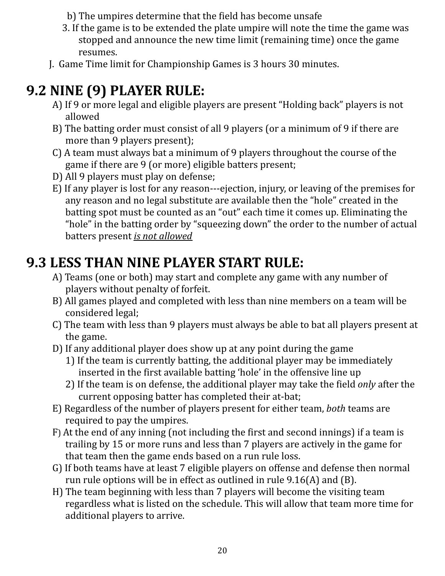- b) The umpires determine that the field has become unsafe
- 3. If the game is to be extended the plate umpire will note the time the game was stopped and announce the new time limit (remaining time) once the game resumes.
- J. Game Time limit for Championship Games is 3 hours 30 minutes.

# **9.2 NINE (9) PLAYER RULE:**

- A) If 9 or more legal and eligible players are present "Holding back" players is not allowed
- B) The batting order must consist of all 9 players (or a minimum of 9 if there are more than 9 players present);
- C) A team must always bat a minimum of 9 players throughout the course of the game if there are 9 (or more) eligible batters present;
- D) All 9 players must play on defense;
- E) If any player is lost for any reason---ejection, injury, or leaving of the premises for any reason and no legal substitute are available then the "hole" created in the batting spot must be counted as an "out" each time it comes up. Eliminating the "hole" in the batting order by "squeezing down" the order to the number of actual batters present *is not allowed*

# **9.3 LESS THAN NINE PLAYER START RULE:**

- A) Teams (one or both) may start and complete any game with any number of players without penalty of forfeit.
- B) All games played and completed with less than nine members on a team will be considered legal;
- C) The team with less than 9 players must always be able to bat all players present at the game.
- D) If any additional player does show up at any point during the game
	- 1) If the team is currently batting, the additional player may be immediately inserted in the first available batting 'hole' in the offensive line up
	- 2) If the team is on defense, the additional player may take the field *only* after the current opposing batter has completed their at-bat;
- E) Regardless of the number of players present for either team, *both* teams are required to pay the umpires.
- F) At the end of any inning (not including the first and second innings) if a team is trailing by 15 or more runs and less than 7 players are actively in the game for that team then the game ends based on a run rule loss.
- G) If both teams have at least 7 eligible players on offense and defense then normal run rule options will be in effect as outlined in rule 9.16(A) and (B).
- H) The team beginning with less than 7 players will become the visiting team regardless what is listed on the schedule. This will allow that team more time for additional players to arrive.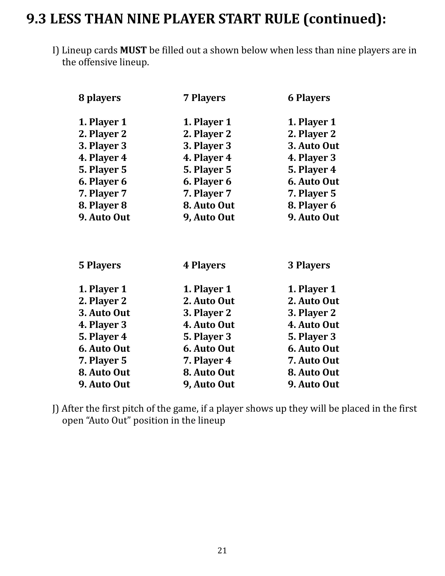#### **9.3 LESS THAN NINE PLAYER START RULE (continued):**

I) Lineup cards **MUST** be filled out a shown below when less than nine players are in the offensive lineup.

| 8 players        | <b>7 Players</b> | <b>6 Players</b> |
|------------------|------------------|------------------|
| 1. Player 1      | 1. Player 1      | 1. Player 1      |
| 2. Player 2      | 2. Player 2      | 2. Player 2      |
| 3. Player 3      | 3. Player 3      | 3. Auto Out      |
| 4. Player 4      | 4. Player 4      | 4. Player 3      |
| 5. Player 5      | 5. Player 5      | 5. Player 4      |
| 6. Player 6      | 6. Player 6      | 6. Auto Out      |
| 7. Player 7      | 7. Player 7      | 7. Player 5      |
| 8. Player 8      | 8. Auto Out      | 8. Player 6      |
| 9. Auto Out      | 9, Auto Out      | 9. Auto Out      |
| <b>5 Players</b> | <b>4 Players</b> | 3 Players        |
| 1. Player 1      | 1. Player 1      | 1. Player 1      |
| 2. Player 2      | 2. Auto Out      | 2. Auto Out      |
| 3. Auto Out      | 3. Player 2      | 3. Player 2      |
| 4. Player 3      | 4. Auto Out      | 4. Auto Out      |
| 5. Player 4      | 5. Player 3      | 5. Player 3      |
| 6. Auto Out      | 6. Auto Out      | 6. Auto Out      |
| 7. Player 5      | 7. Player 4      | 7. Auto Out      |
| 8. Auto Out      | 8. Auto Out      | 8. Auto Out      |
| 9. Auto Out      | 9, Auto Out      | 9. Auto Out      |

J) After the first pitch of the game, if a player shows up they will be placed in the first open "Auto Out" position in the lineup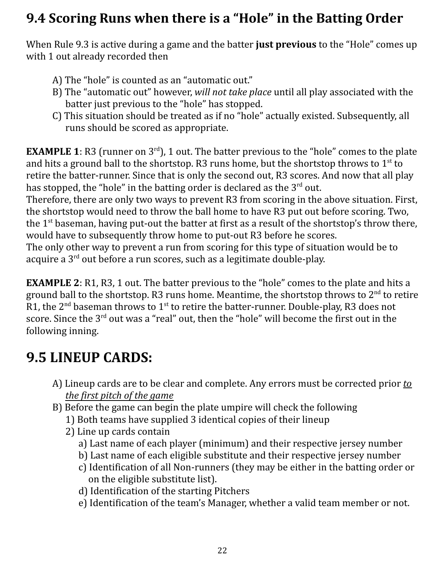## **9.4 Scoring Runs when there is a "Hole" in the Batting Order**

When Rule 9.3 is active during a game and the batter **just previous** to the "Hole" comes up with 1 out already recorded then

- A) The "hole" is counted as an "automatic out."
- B) The "automatic out" however, *will not take place* until all play associated with the batter just previous to the "hole" has stopped.
- C) This situation should be treated as if no "hole" actually existed. Subsequently, all runs should be scored as appropriate.

**EXAMPLE 1**: R3 (runner on  $3<sup>rd</sup>$ ), 1 out. The batter previous to the "hole" comes to the plate and hits a ground ball to the shortstop. R3 runs home, but the shortstop throws to  $1^\text{st}$  to retire the batter-runner. Since that is only the second out, R3 scores. And now that all play has stopped, the "hole" in the batting order is declared as the  $3^{\text{rd}}$  out.

Therefore, there are only two ways to prevent R3 from scoring in the above situation. First, the shortstop would need to throw the ball home to have R3 put out before scoring. Two, the 1<sup>st</sup> baseman, having put-out the batter at first as a result of the shortstop's throw there, would have to subsequently throw home to put-out R3 before he scores.

The only other way to prevent a run from scoring for this type of situation would be to acquire a 3<sup>rd</sup> out before a run scores, such as a legitimate double-play.

**EXAMPLE 2**: R1, R3, 1 out. The batter previous to the "hole" comes to the plate and hits a ground ball to the shortstop. R3 runs home. Meantime, the shortstop throws to  $2^{\text{nd}}$  to retire R1, the 2<sup>nd</sup> baseman throws to 1<sup>st</sup> to retire the batter-runner. Double-play, R3 does not score. Since the 3<sup>rd</sup> out was a "real" out, then the "hole" will become the first out in the following inning.

# **9.5 LINEUP CARDS:**

- A) Lineup cards are to be clear and complete. Any errors must be corrected prior *to the first pitch of the game*
- B) Before the game can begin the plate umpire will check the following
	- 1) Both teams have supplied 3 identical copies of their lineup
	- 2) Line up cards contain
		- a) Last name of each player (minimum) and their respective jersey number
		- b) Last name of each eligible substitute and their respective jersey number
		- c) Identification of all Non-runners (they may be either in the batting order or on the eligible substitute list).
		- d) Identification of the starting Pitchers
		- e) Identification of the team's Manager, whether a valid team member or not.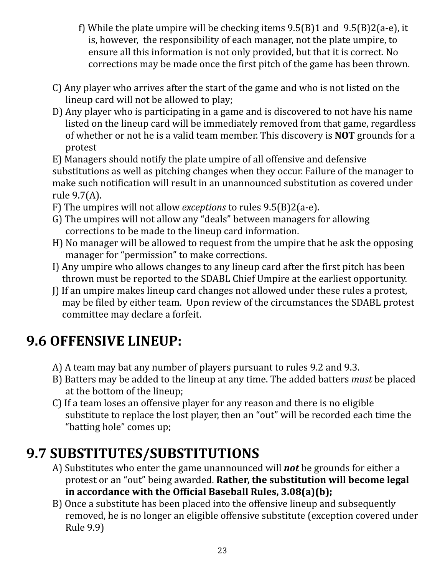- f) While the plate umpire will be checking items 9.5(B)1 and 9.5(B)2(a-e), it is, however, the responsibility of each manager, not the plate umpire, to ensure all this information is not only provided, but that it is correct. No corrections may be made once the first pitch of the game has been thrown.
- C) Any player who arrives after the start of the game and who is not listed on the lineup card will not be allowed to play;
- D) Any player who is participating in a game and is discovered to not have his name listed on the lineup card will be immediately removed from that game, regardless of whether or not he is a valid team member. This discovery is **NOT** grounds for a protest
- E) Managers should notify the plate umpire of all offensive and defensive

substitutions as well as pitching changes when they occur. Failure of the manager to make such notification will result in an unannounced substitution as covered under rule 9.7(A).

- F) The umpires will not allow *exceptions* to rules 9.5(B)2(a-e).
- G) The umpires will not allow any "deals" between managers for allowing corrections to be made to the lineup card information.
- H) No manager will be allowed to request from the umpire that he ask the opposing manager for "permission" to make corrections.
- I) Any umpire who allows changes to any lineup card after the first pitch has been thrown must be reported to the SDABL Chief Umpire at the earliest opportunity.
- J) If an umpire makes lineup card changes not allowed under these rules a protest, may be filed by either team. Upon review of the circumstances the SDABL protest committee may declare a forfeit.

# **9.6 OFFENSIVE LINEUP:**

- A) A team may bat any number of players pursuant to rules 9.2 and 9.3.
- B) Batters may be added to the lineup at any time. The added batters *must* be placed at the bottom of the lineup;
- C) If a team loses an offensive player for any reason and there is no eligible substitute to replace the lost player, then an "out" will be recorded each time the "batting hole" comes up;

# **9.7 SUBSTITUTES/SUBSTITUTIONS**

- A) Substitutes who enter the game unannounced will *not* be grounds for either a protest or an "out" being awarded. **Rather, the substitution will become legal in accordance with the Official Baseball Rules, 3.08(a)(b);**
- B) Once a substitute has been placed into the offensive lineup and subsequently removed, he is no longer an eligible offensive substitute (exception covered under Rule 9.9)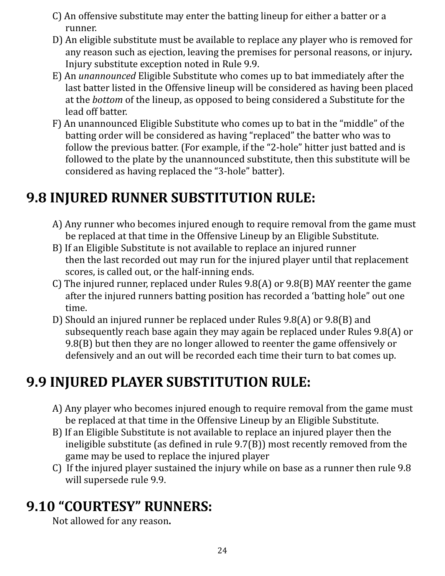- C) An offensive substitute may enter the batting lineup for either a batter or a runner.
- D) An eligible substitute must be available to replace any player who is removed for any reason such as ejection, leaving the premises for personal reasons, or injury*.* Injury substitute exception noted in Rule 9.9.
- E) An *unannounced* Eligible Substitute who comes up to bat immediately after the last batter listed in the Offensive lineup will be considered as having been placed at the *bottom* of the lineup, as opposed to being considered a Substitute for the lead off batter.
- F) An unannounced Eligible Substitute who comes up to bat in the "middle" of the batting order will be considered as having "replaced" the batter who was to follow the previous batter. (For example, if the "2-hole" hitter just batted and is followed to the plate by the unannounced substitute, then this substitute will be considered as having replaced the "3-hole" batter).

## **9.8 INJURED RUNNER SUBSTITUTION RULE:**

- A) Any runner who becomes injured enough to require removal from the game must be replaced at that time in the Offensive Lineup by an Eligible Substitute.
- B) If an Eligible Substitute is not available to replace an injured runner then the last recorded out may run for the injured player until that replacement scores, is called out, or the half-inning ends.
- C) The injured runner, replaced under Rules 9.8(A) or 9.8(B) MAY reenter the game after the injured runners batting position has recorded a 'batting hole" out one time.
- D) Should an injured runner be replaced under Rules 9.8(A) or 9.8(B) and subsequently reach base again they may again be replaced under Rules 9.8(A) or 9.8(B) but then they are no longer allowed to reenter the game offensively or defensively and an out will be recorded each time their turn to bat comes up.

## **9.9 INJURED PLAYER SUBSTITUTION RULE:**

- A) Any player who becomes injured enough to require removal from the game must be replaced at that time in the Offensive Lineup by an Eligible Substitute.
- B) If an Eligible Substitute is not available to replace an injured player then the ineligible substitute (as defined in rule 9.7(B)) most recently removed from the game may be used to replace the injured player
- C) If the injured player sustained the injury while on base as a runner then rule 9.8 will supersede rule 9.9.

## **9.10 "COURTESY" RUNNERS:**

Not allowed for any reason**.**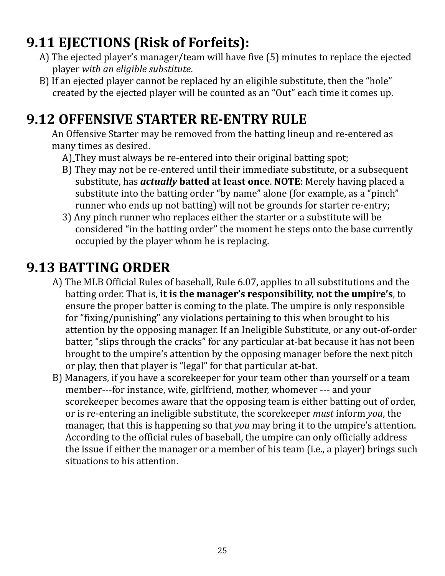# **9.11 EJECTIONS (Risk of Forfeits):**

- A) The ejected player's manager/team will have five (5) minutes to replace the ejected player *with an eligible substitute*.
- B) If an ejected player cannot be replaced by an eligible substitute, then the "hole" created by the ejected player will be counted as an "Out" each time it comes up.

## **9.12 OFFENSIVE STARTER RE-ENTRY RULE**

An Offensive Starter may be removed from the batting lineup and re-entered as many times as desired.

- A) They must always be re-entered into their original batting spot;
- B) They may not be re-entered until their immediate substitute, or a subsequent substitute, has *actually* **batted at least once**. **NOTE**: Merely having placed a substitute into the batting order "by name" alone (for example, as a "pinch" runner who ends up not batting) will not be grounds for starter re-entry;
- 3) Any pinch runner who replaces either the starter or a substitute will be considered "in the batting order" the moment he steps onto the base currently occupied by the player whom he is replacing.

## **9.13 BATTING ORDER**

- A) The MLB Official Rules of baseball, Rule 6.07, applies to all substitutions and the batting order. That is, **it is the manager's responsibility, not the umpire's**, to ensure the proper batter is coming to the plate. The umpire is only responsible for "fixing/punishing" any violations pertaining to this when brought to his attention by the opposing manager. If an Ineligible Substitute, or any out-of-order batter, "slips through the cracks" for any particular at-bat because it has not been brought to the umpire's attention by the opposing manager before the next pitch or play, then that player is "legal" for that particular at-bat.
- B) Managers, if you have a scorekeeper for your team other than yourself or a team member---for instance, wife, girlfriend, mother, whomever --- and your scorekeeper becomes aware that the opposing team is either batting out of order, or is re-entering an ineligible substitute, the scorekeeper *must* inform *you*, the manager, that this is happening so that *you* may bring it to the umpire's attention. According to the official rules of baseball, the umpire can only officially address the issue if either the manager or a member of his team (i.e., a player) brings such situations to his attention.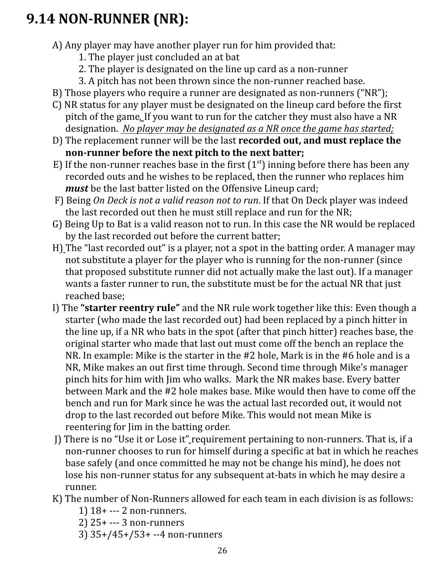# **9.14 NON-RUNNER (NR):**

- A) Any player may have another player run for him provided that:
	- 1. The player just concluded an at bat
	- 2. The player is designated on the line up card as a non-runner
	- 3. A pitch has not been thrown since the non-runner reached base.
- B) Those players who require a runner are designated as non-runners ("NR");
- C) NR status for any player must be designated on the lineup card before the first pitch of the game*.* If you want to run for the catcher they must also have a NR designation. *No player may be designated as a NR once the game has started;*
- D) The replacement runner will be the last **recorded out, and must replace the non-runner before the next pitch to the next batter;**
- E) If the non-runner reaches base in the first  $(1<sup>st</sup>)$  inning before there has been any recorded outs and he wishes to be replaced, then the runner who replaces him *must* be the last batter listed on the Offensive Lineup card;
- F) Being *On Deck is not a valid reason not to run*. If that On Deck player was indeed the last recorded out then he must still replace and run for the NR;
- G) Being Up to Bat is a valid reason not to run. In this case the NR would be replaced by the last recorded out before the current batter;
- H) The "last recorded out" is a player, not a spot in the batting order. A manager may not substitute a player for the player who is running for the non-runner (since that proposed substitute runner did not actually make the last out). If a manager wants a faster runner to run, the substitute must be for the actual NR that just reached base;
- I) The **"starter reentry rule"** and the NR rule work together like this: Even though a starter (who made the last recorded out) had been replaced by a pinch hitter in the line up, if a NR who bats in the spot (after that pinch hitter) reaches base, the original starter who made that last out must come off the bench an replace the NR. In example: Mike is the starter in the #2 hole, Mark is in the #6 hole and is a NR, Mike makes an out first time through. Second time through Mike's manager pinch hits for him with Jim who walks. Mark the NR makes base. Every batter between Mark and the #2 hole makes base. Mike would then have to come off the bench and run for Mark since he was the actual last recorded out, it would not drop to the last recorded out before Mike. This would not mean Mike is reentering for Jim in the batting order.
- J) There is no "Use it or Lose it" requirement pertaining to non-runners. That is, if a non-runner chooses to run for himself during a specific at bat in which he reaches base safely (and once committed he may not be change his mind), he does not lose his non-runner status for any subsequent at-bats in which he may desire a runner.
- K) The number of Non-Runners allowed for each team in each division is as follows:
	- 1) 18+ --- 2 non-runners.
	- 2) 25+ --- 3 non-runners
	- 3) 35+/45+/53+ --4 non-runners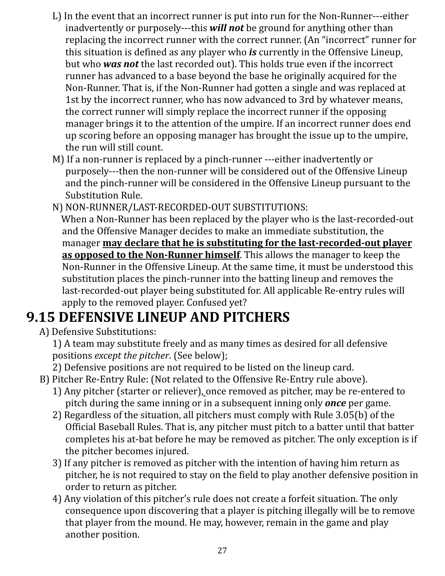- L) In the event that an incorrect runner is put into run for the Non-Runner---either inadvertently or purposely---this *will not* be ground for anything other than replacing the incorrect runner with the correct runner. (An "incorrect" runner for this situation is defined as any player who *is* currently in the Offensive Lineup, but who *was not* the last recorded out). This holds true even if the incorrect runner has advanced to a base beyond the base he originally acquired for the Non-Runner. That is, if the Non-Runner had gotten a single and was replaced at 1st by the incorrect runner, who has now advanced to 3rd by whatever means, the correct runner will simply replace the incorrect runner if the opposing manager brings it to the attention of the umpire. If an incorrect runner does end up scoring before an opposing manager has brought the issue up to the umpire, the run will still count.
- M) If a non-runner is replaced by a pinch-runner ---either inadvertently or purposely---then the non-runner will be considered out of the Offensive Lineup and the pinch-runner will be considered in the Offensive Lineup pursuant to the Substitution Rule.
- N) NON-RUNNER/LAST-RECORDED-OUT SUBSTITUTIONS: When a Non-Runner has been replaced by the player who is the last-recorded-out and the Offensive Manager decides to make an immediate substitution, the manager **may declare that he is substituting for the last-recorded-out player as opposed to the Non-Runner himself**. This allows the manager to keep the Non-Runner in the Offensive Lineup. At the same time, it must be understood this substitution places the pinch-runner into the batting lineup and removes the last-recorded-out player being substituted for. All applicable Re-entry rules will apply to the removed player. Confused yet?

# **9.15 DEFENSIVE LINEUP AND PITCHERS**

A) Defensive Substitutions:

1) A team may substitute freely and as many times as desired for all defensive positions *except the pitcher*. (See below);

2) Defensive positions are not required to be listed on the lineup card.

- B) Pitcher Re-Entry Rule: (Not related to the Offensive Re-Entry rule above).
	- 1) Any pitcher (starter or reliever), once removed as pitcher, may be re-entered to pitch during the same inning or in a subsequent inning only *once* per game.
	- 2) Regardless of the situation, all pitchers must comply with Rule 3.05(b) of the Official Baseball Rules. That is, any pitcher must pitch to a batter until that batter completes his at-bat before he may be removed as pitcher. The only exception is if the pitcher becomes injured.
	- 3) If any pitcher is removed as pitcher with the intention of having him return as pitcher, he is not required to stay on the field to play another defensive position in order to return as pitcher.
	- 4) Any violation of this pitcher's rule does not create a forfeit situation. The only consequence upon discovering that a player is pitching illegally will be to remove that player from the mound. He may, however, remain in the game and play another position.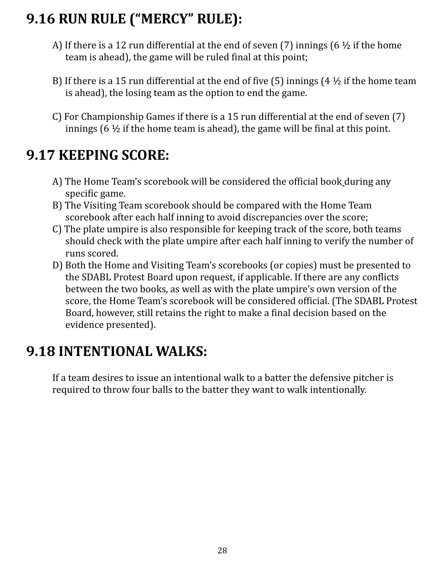# **9.16 RUN RULE ("MERCY" RULE):**

- A) If there is a 12 run differential at the end of seven (7) innings (6  $\frac{1}{2}$  if the home team is ahead), the game will be ruled final at this point;
- B) If there is a 15 run differential at the end of five (5) innings (4  $\frac{1}{2}$  if the home team is ahead), the losing team as the option to end the game.
- C) For Championship Games if there is a 15 run differential at the end of seven (7) innings (6  $\frac{1}{2}$  if the home team is ahead), the game will be final at this point.

# **9.17 KEEPING SCORE:**

- A) The Home Team's scorebook will be considered the official book during any specific game.
- B) The Visiting Team scorebook should be compared with the Home Team scorebook after each half inning to avoid discrepancies over the score;
- C) The plate umpire is also responsible for keeping track of the score, both teams should check with the plate umpire after each half inning to verify the number of runs scored.
- D) Both the Home and Visiting Team's scorebooks (or copies) must be presented to the SDABL Protest Board upon request, if applicable. If there are any conflicts between the two books, as well as with the plate umpire's own version of the score, the Home Team's scorebook will be considered official. (The SDABL Protest Board, however, still retains the right to make a final decision based on the evidence presented).

## **9.18 INTENTIONAL WALKS:**

If a team desires to issue an intentional walk to a batter the defensive pitcher is required to throw four balls to the batter they want to walk intentionally.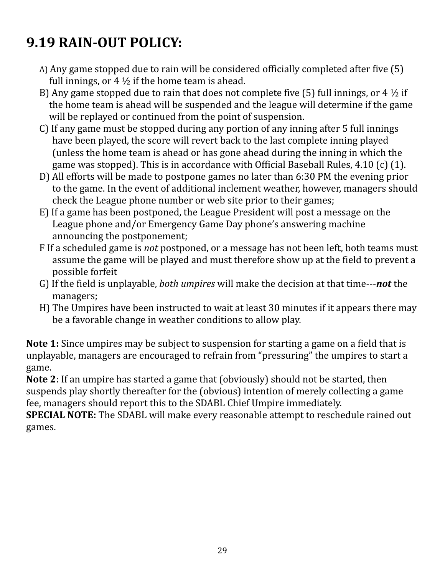# **9.19 RAIN-OUT POLICY:**

- A) Any game stopped due to rain will be considered officially completed after five (5) full innings, or  $4\frac{1}{2}$  if the home team is ahead.
- B) Any game stopped due to rain that does not complete five (5) full innings, or 4  $\frac{1}{2}$  if the home team is ahead will be suspended and the league will determine if the game will be replayed or continued from the point of suspension.
- C) If any game must be stopped during any portion of any inning after 5 full innings have been played, the score will revert back to the last complete inning played (unless the home team is ahead or has gone ahead during the inning in which the game was stopped). This is in accordance with Official Baseball Rules, 4.10 (c) (1).
- D) All efforts will be made to postpone games no later than 6:30 PM the evening prior to the game. In the event of additional inclement weather, however, managers should check the League phone number or web site prior to their games;
- E) If a game has been postponed, the League President will post a message on the League phone and/or Emergency Game Day phone's answering machine announcing the postponement;
- F If a scheduled game is *not* postponed, or a message has not been left, both teams must assume the game will be played and must therefore show up at the field to prevent a possible forfeit
- G) If the field is unplayable, *both umpires* will make the decision at that time---*not* the managers;
- H) The Umpires have been instructed to wait at least 30 minutes if it appears there may be a favorable change in weather conditions to allow play.

**Note 1:** Since umpires may be subject to suspension for starting a game on a field that is unplayable, managers are encouraged to refrain from "pressuring" the umpires to start a game.

**Note 2**: If an umpire has started a game that (obviously) should not be started, then suspends play shortly thereafter for the (obvious) intention of merely collecting a game fee, managers should report this to the SDABL Chief Umpire immediately.

**SPECIAL NOTE:** The SDABL will make every reasonable attempt to reschedule rained out games.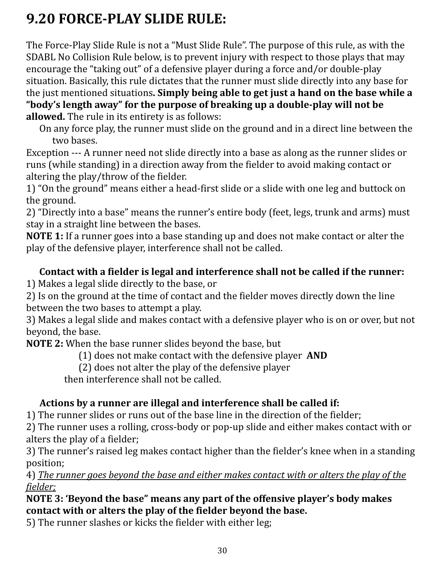# **9.20 FORCE-PLAY SLIDE RULE:**

The Force-Play Slide Rule is not a "Must Slide Rule". The purpose of this rule, as with the SDABL No Collision Rule below, is to prevent injury with respect to those plays that may encourage the "taking out" of a defensive player during a force and/or double-play situation. Basically, this rule dictates that the runner must slide directly into any base for the just mentioned situations**. Simply being able to get just a hand on the base while a "body's length away" for the purpose of breaking up a double-play will not be allowed.** The rule in its entirety is as follows:

On any force play, the runner must slide on the ground and in a direct line between the two bases.

Exception --- A runner need not slide directly into a base as along as the runner slides or runs (while standing) in a direction away from the fielder to avoid making contact or altering the play/throw of the fielder.

1) "On the ground" means either a head-first slide or a slide with one leg and buttock on the ground.

2) "Directly into a base" means the runner's entire body (feet, legs, trunk and arms) must stay in a straight line between the bases.

**NOTE 1:** If a runner goes into a base standing up and does not make contact or alter the play of the defensive player, interference shall not be called.

#### **Contact with a fielder is legal and interference shall not be called if the runner:**

1) Makes a legal slide directly to the base, or

2) Is on the ground at the time of contact and the fielder moves directly down the line between the two bases to attempt a play.

3) Makes a legal slide and makes contact with a defensive player who is on or over, but not beyond, the base.

**NOTE 2:** When the base runner slides beyond the base, but

(1) does not make contact with the defensive player **AND**

(2) does not alter the play of the defensive player

then interference shall not be called.

#### **Actions by a runner are illegal and interference shall be called if:**

1) The runner slides or runs out of the base line in the direction of the fielder;

2) The runner uses a rolling, cross-body or pop-up slide and either makes contact with or alters the play of a fielder;

3) The runner's raised leg makes contact higher than the fielder's knee when in a standing position;

4) *The runner goes beyond the base and either makes contact with or alters the play of the fielder;*

#### **NOTE 3: 'Beyond the base" means any part of the offensive player's body makes contact with or alters the play of the fielder beyond the base.**

5) The runner slashes or kicks the fielder with either leg;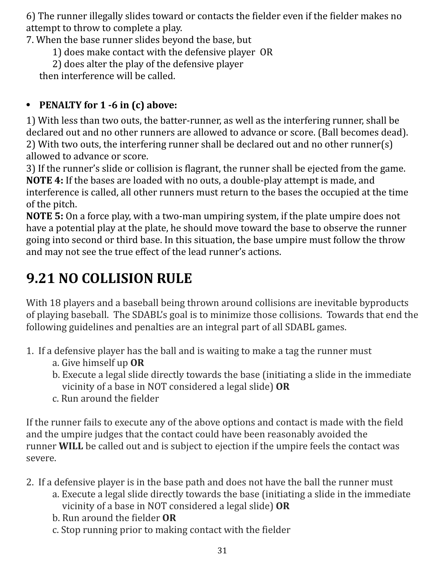6) The runner illegally slides toward or contacts the fielder even if the fielder makes no attempt to throw to complete a play.

7. When the base runner slides beyond the base, but

- 1) does make contact with the defensive player OR
- 2) does alter the play of the defensive player

then interference will be called.

#### **• PENALTY for 1 -6 in (c) above:**

1) With less than two outs, the batter-runner, as well as the interfering runner, shall be declared out and no other runners are allowed to advance or score. (Ball becomes dead). 2) With two outs, the interfering runner shall be declared out and no other runner(s) allowed to advance or score.

3) If the runner's slide or collision is flagrant, the runner shall be ejected from the game. **NOTE 4:** If the bases are loaded with no outs, a double-play attempt is made, and interference is called, all other runners must return to the bases the occupied at the time of the pitch.

**NOTE 5:** On a force play, with a two-man umpiring system, if the plate umpire does not have a potential play at the plate, he should move toward the base to observe the runner going into second or third base. In this situation, the base umpire must follow the throw and may not see the true effect of the lead runner's actions.

# **9.21 NO COLLISION RULE**

With 18 players and a baseball being thrown around collisions are inevitable byproducts of playing baseball. The SDABL's goal is to minimize those collisions. Towards that end the following guidelines and penalties are an integral part of all SDABL games.

- 1. If a defensive player has the ball and is waiting to make a tag the runner must
	- a. Give himself up **OR**
	- b. Execute a legal slide directly towards the base (initiating a slide in the immediate vicinity of a base in NOT considered a legal slide) **OR**
	- c. Run around the fielder

If the runner fails to execute any of the above options and contact is made with the field and the umpire judges that the contact could have been reasonably avoided the runner **WILL** be called out and is subject to ejection if the umpire feels the contact was severe.

- 2. If a defensive player is in the base path and does not have the ball the runner must
	- a. Execute a legal slide directly towards the base (initiating a slide in the immediate vicinity of a base in NOT considered a legal slide) **OR**
	- b. Run around the fielder **OR**
	- c. Stop running prior to making contact with the fielder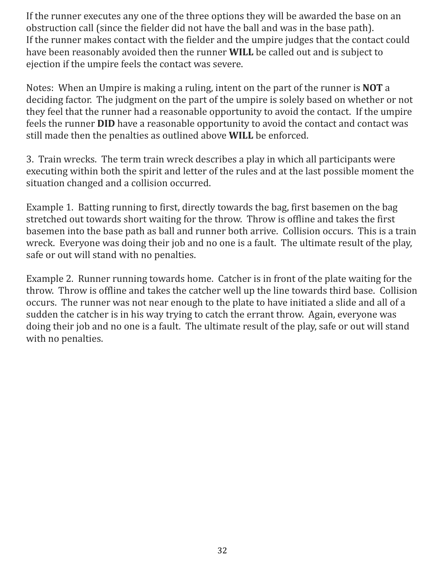If the runner executes any one of the three options they will be awarded the base on an obstruction call (since the fielder did not have the ball and was in the base path). If the runner makes contact with the fielder and the umpire judges that the contact could have been reasonably avoided then the runner **WILL** be called out and is subject to ejection if the umpire feels the contact was severe.

Notes: When an Umpire is making a ruling, intent on the part of the runner is **NOT** a deciding factor. The judgment on the part of the umpire is solely based on whether or not they feel that the runner had a reasonable opportunity to avoid the contact. If the umpire feels the runner **DID** have a reasonable opportunity to avoid the contact and contact was still made then the penalties as outlined above **WILL** be enforced.

3. Train wrecks. The term train wreck describes a play in which all participants were executing within both the spirit and letter of the rules and at the last possible moment the situation changed and a collision occurred.

Example 1. Batting running to first, directly towards the bag, first basemen on the bag stretched out towards short waiting for the throw. Throw is offline and takes the first basemen into the base path as ball and runner both arrive. Collision occurs. This is a train wreck. Everyone was doing their job and no one is a fault. The ultimate result of the play, safe or out will stand with no penalties.

Example 2. Runner running towards home. Catcher is in front of the plate waiting for the throw. Throw is offline and takes the catcher well up the line towards third base. Collision occurs. The runner was not near enough to the plate to have initiated a slide and all of a sudden the catcher is in his way trying to catch the errant throw. Again, everyone was doing their job and no one is a fault. The ultimate result of the play, safe or out will stand with no penalties.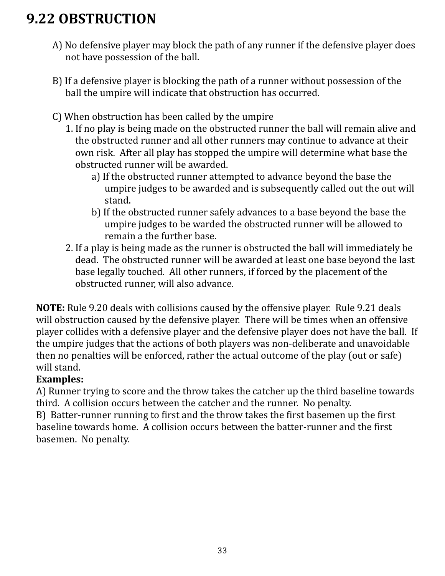# **9.22 OBSTRUCTION**

- A) No defensive player may block the path of any runner if the defensive player does not have possession of the ball.
- B) If a defensive player is blocking the path of a runner without possession of the ball the umpire will indicate that obstruction has occurred.
- C) When obstruction has been called by the umpire
	- 1. If no play is being made on the obstructed runner the ball will remain alive and the obstructed runner and all other runners may continue to advance at their own risk. After all play has stopped the umpire will determine what base the obstructed runner will be awarded.
		- a) If the obstructed runner attempted to advance beyond the base the umpire judges to be awarded and is subsequently called out the out will stand.
		- b) If the obstructed runner safely advances to a base beyond the base the umpire judges to be warded the obstructed runner will be allowed to remain a the further base.
	- 2. If a play is being made as the runner is obstructed the ball will immediately be dead. The obstructed runner will be awarded at least one base beyond the last base legally touched. All other runners, if forced by the placement of the obstructed runner, will also advance.

**NOTE:** Rule 9.20 deals with collisions caused by the offensive player. Rule 9.21 deals will obstruction caused by the defensive player. There will be times when an offensive player collides with a defensive player and the defensive player does not have the ball. If the umpire judges that the actions of both players was non-deliberate and unavoidable then no penalties will be enforced, rather the actual outcome of the play (out or safe) will stand.

#### **Examples:**

A) Runner trying to score and the throw takes the catcher up the third baseline towards third. A collision occurs between the catcher and the runner. No penalty.

B) Batter-runner running to first and the throw takes the first basemen up the first baseline towards home. A collision occurs between the batter-runner and the first basemen. No penalty.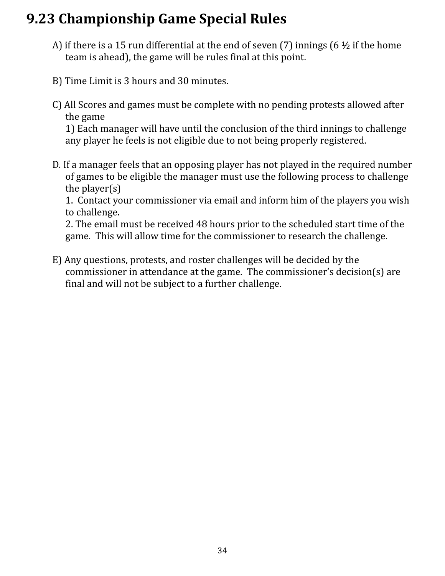## **9.23 Championship Game Special Rules**

- A) if there is a 15 run differential at the end of seven (7) innings (6  $\frac{1}{2}$  if the home team is ahead), the game will be rules final at this point.
- B) Time Limit is 3 hours and 30 minutes.
- C) All Scores and games must be complete with no pending protests allowed after the game

1) Each manager will have until the conclusion of the third innings to challenge any player he feels is not eligible due to not being properly registered.

D. If a manager feels that an opposing player has not played in the required number of games to be eligible the manager must use the following process to challenge the player(s)

1. Contact your commissioner via email and inform him of the players you wish to challenge.

2. The email must be received 48 hours prior to the scheduled start time of the game. This will allow time for the commissioner to research the challenge.

E) Any questions, protests, and roster challenges will be decided by the commissioner in attendance at the game. The commissioner's decision(s) are final and will not be subject to a further challenge.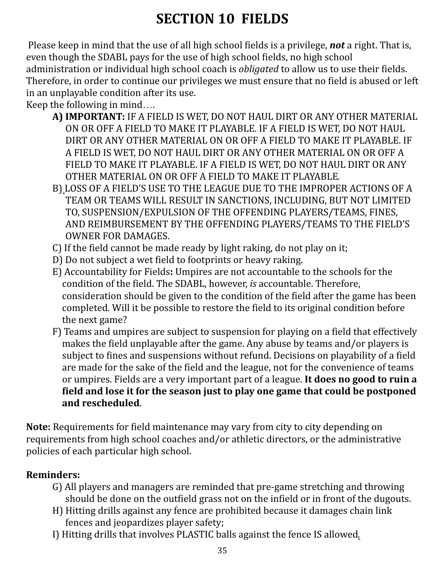# **SECTION 10 FIELDS**

Please keep in mind that the use of all high school fields is a privilege, *not* a right. That is, even though the SDABL pays for the use of high school fields, no high school administration or individual high school coach is *obligated* to allow us to use their fields. Therefore, in order to continue our privileges we must ensure that no field is abused or left in an unplayable condition after its use.

Keep the following in mind….

- **A) IMPORTANT:** IF A FIELD IS WET, DO NOT HAUL DIRT OR ANY OTHER MATERIAL ON OR OFF A FIELD TO MAKE IT PLAYABLE. IF A FIELD IS WET, DO NOT HAUL DIRT OR ANY OTHER MATERIAL ON OR OFF A FIELD TO MAKE IT PLAYABLE. IF A FIELD IS WET, DO NOT HAUL DIRT OR ANY OTHER MATERIAL ON OR OFF A FIELD TO MAKE IT PLAYABLE. IF A FIELD IS WET, DO NOT HAUL DIRT OR ANY OTHER MATERIAL ON OR OFF A FIELD TO MAKE IT PLAYABLE*.*
- B) LOSS OF A FIELD'S USE TO THE LEAGUE DUE TO THE IMPROPER ACTIONS OF A TEAM OR TEAMS WILL RESULT IN SANCTIONS, INCLUDING, BUT NOT LIMITED TO, SUSPENSION/EXPULSION OF THE OFFENDING PLAYERS/TEAMS, FINES, AND REIMBURSEMENT BY THE OFFENDING PLAYERS/TEAMS TO THE FIELD'S OWNER FOR DAMAGES.
- C) If the field cannot be made ready by light raking, do not play on it;
- D) Do not subject a wet field to footprints or heavy raking.
- E) Accountability for Fields**:** Umpires are not accountable to the schools for the condition of the field. The SDABL, however, *is* accountable. Therefore, consideration should be given to the condition of the field after the game has been completed. Will it be possible to restore the field to its original condition before the next game?
- F) Teams and umpires are subject to suspension for playing on a field that effectively makes the field unplayable after the game. Any abuse by teams and/or players is subject to fines and suspensions without refund. Decisions on playability of a field are made for the sake of the field and the league, not for the convenience of teams or umpires. Fields are a very important part of a league. **It does no good to ruin a field and lose it for the season just to play one game that could be postponed and rescheduled**.

**Note:** Requirements for field maintenance may vary from city to city depending on requirements from high school coaches and/or athletic directors, or the administrative policies of each particular high school.

#### **Reminders:**

- G) All players and managers are reminded that pre-game stretching and throwing should be done on the outfield grass not on the infield or in front of the dugouts.
- H) Hitting drills against any fence are prohibited because it damages chain link fences and jeopardizes player safety;
- I) Hitting drills that involves PLASTIC balls against the fence IS allowed*.*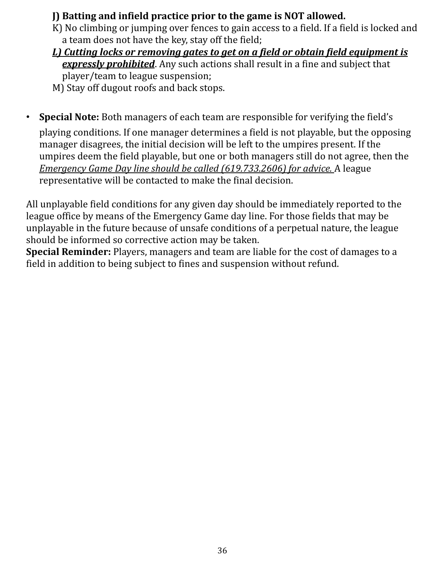#### **J) Batting and infield practice prior to the game is NOT allowed.**

- K) No climbing or jumping over fences to gain access to a field. If a field is locked and a team does not have the key, stay off the field;
- *L) Cutting locks or removing gates to get on a field or obtain field equipment is expressly prohibited*. Any such actions shall result in a fine and subject that player/team to league suspension;
- M) Stay off dugout roofs and back stops.
- **Special Note:** Both managers of each team are responsible for verifying the field's playing conditions. If one manager determines a field is not playable, but the opposing manager disagrees, the initial decision will be left to the umpires present. If the umpires deem the field playable, but one or both managers still do not agree, then the *Emergency Game Day line should be called (619.733.2606) for advice.* A league representative will be contacted to make the final decision.

All unplayable field conditions for any given day should be immediately reported to the league office by means of the Emergency Game day line. For those fields that may be unplayable in the future because of unsafe conditions of a perpetual nature, the league should be informed so corrective action may be taken.

**Special Reminder:** Players, managers and team are liable for the cost of damages to a field in addition to being subject to fines and suspension without refund.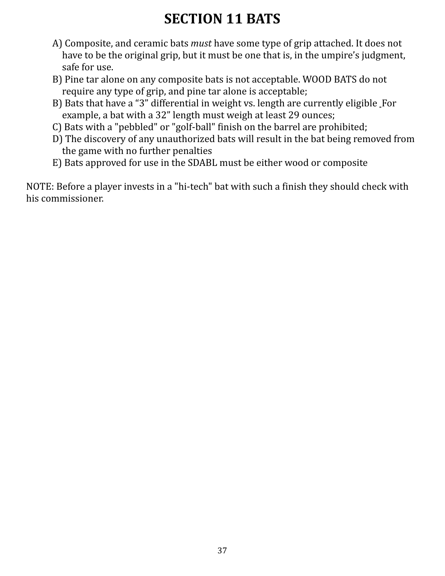# **SECTION 11 BATS**

- A) Composite, and ceramic bats *must* have some type of grip attached. It does not have to be the original grip, but it must be one that is, in the umpire's judgment, safe for use.
- B) Pine tar alone on any composite bats is not acceptable. WOOD BATS do not require any type of grip, and pine tar alone is acceptable;
- B) Bats that have a "3" differential in weight vs. length are currently eligible For example, a bat with a 32" length must weigh at least 29 ounces;
- C) Bats with a "pebbled" or "golf-ball" finish on the barrel are prohibited;
- D) The discovery of any unauthorized bats will result in the bat being removed from the game with no further penalties
- E) Bats approved for use in the SDABL must be either wood or composite

NOTE: Before a player invests in a "hi-tech" bat with such a finish they should check with his commissioner.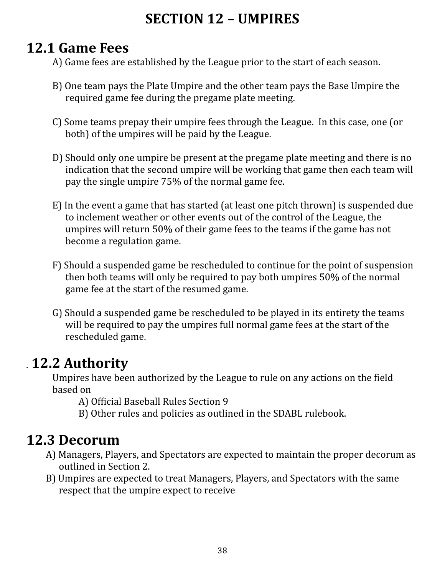## **SECTION 12 – UMPIRES**

## **12.1 Game Fees**

A) Game fees are established by the League prior to the start of each season.

- B) One team pays the Plate Umpire and the other team pays the Base Umpire the required game fee during the pregame plate meeting.
- C) Some teams prepay their umpire fees through the League. In this case, one (or both) of the umpires will be paid by the League.
- D) Should only one umpire be present at the pregame plate meeting and there is no indication that the second umpire will be working that game then each team will pay the single umpire 75% of the normal game fee.
- E) In the event a game that has started (at least one pitch thrown) is suspended due to inclement weather or other events out of the control of the League, the umpires will return 50% of their game fees to the teams if the game has not become a regulation game.
- F) Should a suspended game be rescheduled to continue for the point of suspension then both teams will only be required to pay both umpires 50% of the normal game fee at the start of the resumed game.
- G) Should a suspended game be rescheduled to be played in its entirety the teams will be required to pay the umpires full normal game fees at the start of the rescheduled game.

## . **12.2 Authority**

Umpires have been authorized by the League to rule on any actions on the field based on

A) Official Baseball Rules Section 9

B) Other rules and policies as outlined in the SDABL rulebook.

## **12.3 Decorum**

- A) Managers, Players, and Spectators are expected to maintain the proper decorum as outlined in Section 2.
- B) Umpires are expected to treat Managers, Players, and Spectators with the same respect that the umpire expect to receive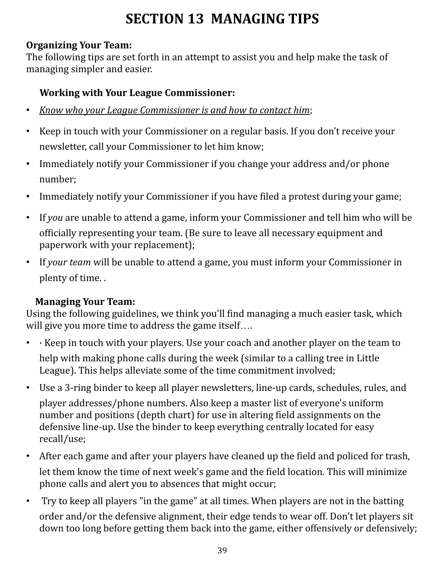# **SECTION 13 MANAGING TIPS**

#### **Organizing Your Team:**

The following tips are set forth in an attempt to assist you and help make the task of managing simpler and easier.

#### **Working with Your League Commissioner:**

- *Know who your League Commissioner is and how to contact him*;
- Keep in touch with your Commissioner on a regular basis. If you don't receive your newsletter, call your Commissioner to let him know;
- Immediately notify your Commissioner if you change your address and/or phone number;
- Immediately notify your Commissioner if you have filed a protest during your game;
- If *you* are unable to attend a game, inform your Commissioner and tell him who will be officially representing your team. (Be sure to leave all necessary equipment and paperwork with your replacement);
- If *your team* will be unable to attend a game, you must inform your Commissioner in plenty of time. .

#### **Managing Your Team:**

Using the following guidelines, we think you'll find managing a much easier task, which will give you more time to address the game itself….

- · Keep in touch with your players. Use your coach and another player on the team to help with making phone calls during the week (similar to a calling tree in Little League). This helps alleviate some of the time commitment involved;
- Use a 3-ring binder to keep all player newsletters, line-up cards, schedules, rules, and player addresses/phone numbers. Also keep a master list of everyone's uniform number and positions (depth chart) for use in altering field assignments on the defensive line-up. Use the binder to keep everything centrally located for easy recall/use;
- After each game and after your players have cleaned up the field and policed for trash, let them know the time of next week's game and the field location. This will minimize phone calls and alert you to absences that might occur;
- Try to keep all players "in the game" at all times. When players are not in the batting order and/or the defensive alignment, their edge tends to wear off. Don't let players sit down too long before getting them back into the game, either offensively or defensively;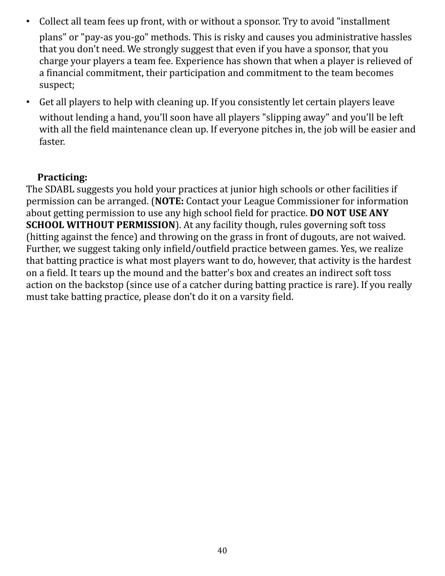- Collect all team fees up front, with or without a sponsor. Try to avoid "installment plans" or "pay-as you-go" methods. This is risky and causes you administrative hassles that you don't need. We strongly suggest that even if you have a sponsor, that you charge your players a team fee. Experience has shown that when a player is relieved of a financial commitment, their participation and commitment to the team becomes suspect;
- Get all players to help with cleaning up. If you consistently let certain players leave without lending a hand, you'll soon have all players "slipping away" and you'll be left with all the field maintenance clean up. If everyone pitches in, the job will be easier and faster.

#### **Practicing:**

The SDABL suggests you hold your practices at junior high schools or other facilities if permission can be arranged. (**NOTE:** Contact your League Commissioner for information about getting permission to use any high school field for practice. **DO NOT USE ANY SCHOOL WITHOUT PERMISSION**). At any facility though, rules governing soft toss (hitting against the fence) and throwing on the grass in front of dugouts, are not waived. Further, we suggest taking only infield/outfield practice between games. Yes, we realize that batting practice is what most players want to do, however, that activity is the hardest on a field. It tears up the mound and the batter's box and creates an indirect soft toss action on the backstop (since use of a catcher during batting practice is rare). If you really must take batting practice, please don't do it on a varsity field.